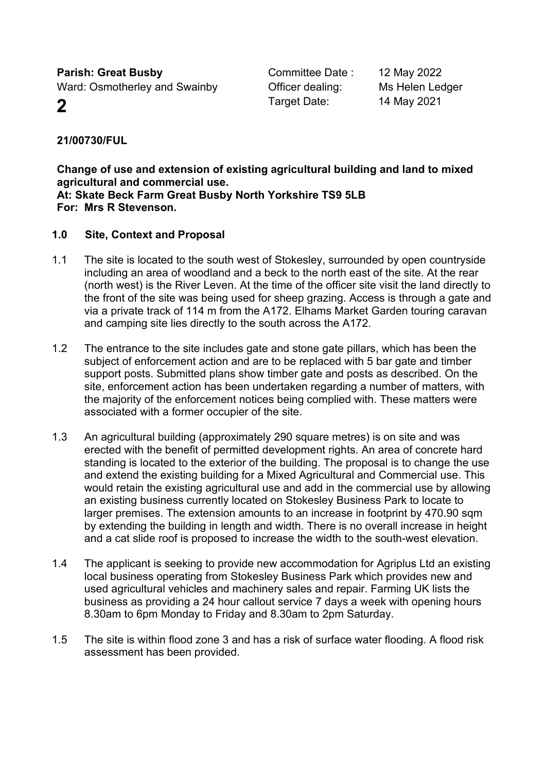**Parish: Great Busby** Ward: Osmotherley and Swainby

Committee Date : 12 May 2022 **2** Target Date: 14 May 2021

Officer dealing: Ms Helen Ledger

**21/00730/FUL**

**Change of use and extension of existing agricultural building and land to mixed agricultural and commercial use. At: Skate Beck Farm Great Busby North Yorkshire TS9 5LB For: Mrs R Stevenson.**

# **1.0 Site, Context and Proposal**

- 1.1 The site is located to the south west of Stokesley, surrounded by open countryside including an area of woodland and a beck to the north east of the site. At the rear (north west) is the River Leven. At the time of the officer site visit the land directly to the front of the site was being used for sheep grazing. Access is through a gate and via a private track of 114 m from the A172. Elhams Market Garden touring caravan and camping site lies directly to the south across the A172.
- 1.2 The entrance to the site includes gate and stone gate pillars, which has been the subject of enforcement action and are to be replaced with 5 bar gate and timber support posts. Submitted plans show timber gate and posts as described. On the site, enforcement action has been undertaken regarding a number of matters, with the majority of the enforcement notices being complied with. These matters were associated with a former occupier of the site.
- 1.3 An agricultural building (approximately 290 square metres) is on site and was erected with the benefit of permitted development rights. An area of concrete hard standing is located to the exterior of the building. The proposal is to change the use and extend the existing building for a Mixed Agricultural and Commercial use. This would retain the existing agricultural use and add in the commercial use by allowing an existing business currently located on Stokesley Business Park to locate to larger premises. The extension amounts to an increase in footprint by 470.90 sqm by extending the building in length and width. There is no overall increase in height and a cat slide roof is proposed to increase the width to the south-west elevation.
- 1.4 The applicant is seeking to provide new accommodation for Agriplus Ltd an existing local business operating from Stokesley Business Park which provides new and used agricultural vehicles and machinery sales and repair. Farming UK lists the business as providing a 24 hour callout service 7 days a week with opening hours 8.30am to 6pm Monday to Friday and 8.30am to 2pm Saturday.
- 1.5 The site is within flood zone 3 and has a risk of surface water flooding. A flood risk assessment has been provided.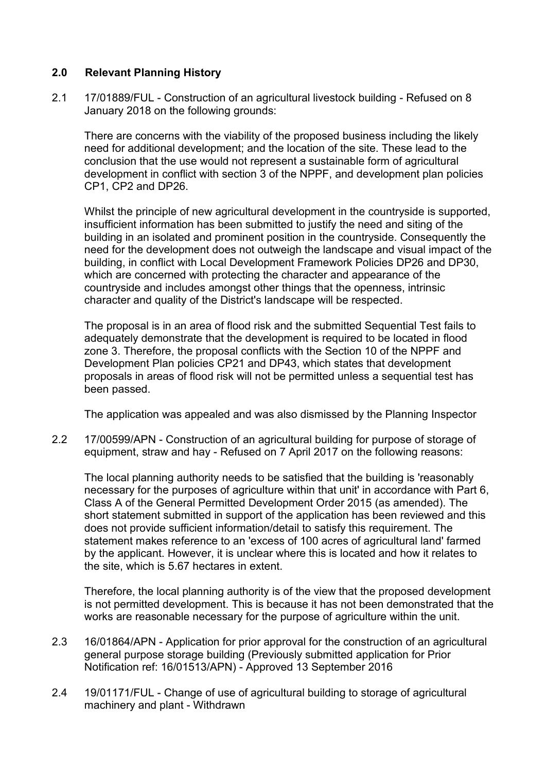# **2.0 Relevant Planning History**

2.1 17/01889/FUL - Construction of an agricultural livestock building - Refused on 8 January 2018 on the following grounds:

There are concerns with the viability of the proposed business including the likely need for additional development; and the location of the site. These lead to the conclusion that the use would not represent a sustainable form of agricultural development in conflict with section 3 of the NPPF, and development plan policies CP1, CP2 and DP26.

Whilst the principle of new agricultural development in the countryside is supported, insufficient information has been submitted to justify the need and siting of the building in an isolated and prominent position in the countryside. Consequently the need for the development does not outweigh the landscape and visual impact of the building, in conflict with Local Development Framework Policies DP26 and DP30, which are concerned with protecting the character and appearance of the countryside and includes amongst other things that the openness, intrinsic character and quality of the District's landscape will be respected.

The proposal is in an area of flood risk and the submitted Sequential Test fails to adequately demonstrate that the development is required to be located in flood zone 3. Therefore, the proposal conflicts with the Section 10 of the NPPF and Development Plan policies CP21 and DP43, which states that development proposals in areas of flood risk will not be permitted unless a sequential test has been passed.

The application was appealed and was also dismissed by the Planning Inspector

2.2 17/00599/APN - Construction of an agricultural building for purpose of storage of equipment, straw and hay - Refused on 7 April 2017 on the following reasons:

The local planning authority needs to be satisfied that the building is 'reasonably necessary for the purposes of agriculture within that unit' in accordance with Part 6, Class A of the General Permitted Development Order 2015 (as amended). The short statement submitted in support of the application has been reviewed and this does not provide sufficient information/detail to satisfy this requirement. The statement makes reference to an 'excess of 100 acres of agricultural land' farmed by the applicant. However, it is unclear where this is located and how it relates to the site, which is 5.67 hectares in extent.

Therefore, the local planning authority is of the view that the proposed development is not permitted development. This is because it has not been demonstrated that the works are reasonable necessary for the purpose of agriculture within the unit.

- 2.3 16/01864/APN Application for prior approval for the construction of an agricultural general purpose storage building (Previously submitted application for Prior Notification ref: 16/01513/APN) - Approved 13 September 2016
- 2.4 19/01171/FUL Change of use of agricultural building to storage of agricultural machinery and plant - Withdrawn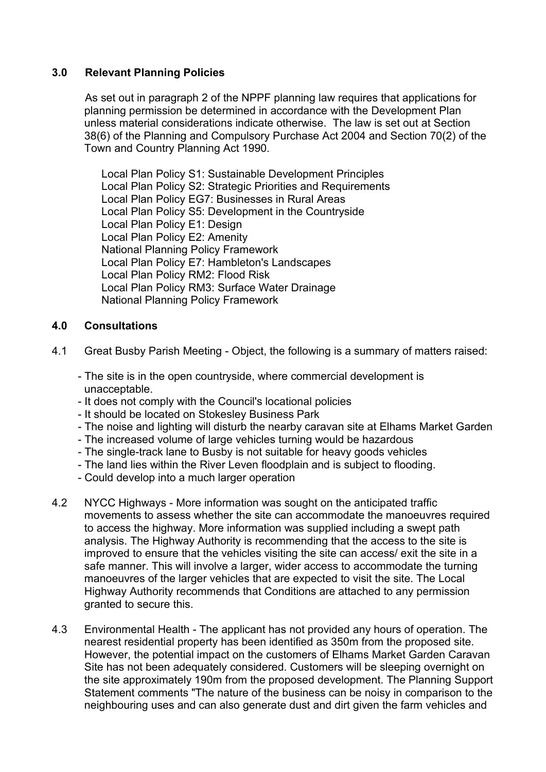# **3.0 Relevant Planning Policies**

As set out in paragraph 2 of the NPPF planning law requires that applications for planning permission be determined in accordance with the Development Plan unless material considerations indicate otherwise. The law is set out at Section 38(6) of the Planning and Compulsory Purchase Act 2004 and Section 70(2) of the Town and Country Planning Act 1990.

Local Plan Policy S1: Sustainable Development Principles Local Plan Policy S2: Strategic Priorities and Requirements Local Plan Policy EG7: Businesses in Rural Areas Local Plan Policy S5: Development in the Countryside Local Plan Policy E1: Design Local Plan Policy E2: Amenity National Planning Policy Framework Local Plan Policy E7: Hambleton's Landscapes Local Plan Policy RM2: Flood Risk Local Plan Policy RM3: Surface Water Drainage National Planning Policy Framework

# **4.0 Consultations**

- 4.1 Great Busby Parish Meeting Object, the following is a summary of matters raised:
	- The site is in the open countryside, where commercial development is unacceptable.
	- It does not comply with the Council's locational policies
	- It should be located on Stokesley Business Park
	- The noise and lighting will disturb the nearby caravan site at Elhams Market Garden
	- The increased volume of large vehicles turning would be hazardous
	- The single-track lane to Busby is not suitable for heavy goods vehicles
	- The land lies within the River Leven floodplain and is subject to flooding.
	- Could develop into a much larger operation
- 4.2 NYCC Highways More information was sought on the anticipated traffic movements to assess whether the site can accommodate the manoeuvres required to access the highway. More information was supplied including a swept path analysis. The Highway Authority is recommending that the access to the site is improved to ensure that the vehicles visiting the site can access/ exit the site in a safe manner. This will involve a larger, wider access to accommodate the turning manoeuvres of the larger vehicles that are expected to visit the site. The Local Highway Authority recommends that Conditions are attached to any permission granted to secure this.
- 4.3 Environmental Health The applicant has not provided any hours of operation. The nearest residential property has been identified as 350m from the proposed site. However, the potential impact on the customers of Elhams Market Garden Caravan Site has not been adequately considered. Customers will be sleeping overnight on the site approximately 190m from the proposed development. The Planning Support Statement comments "The nature of the business can be noisy in comparison to the neighbouring uses and can also generate dust and dirt given the farm vehicles and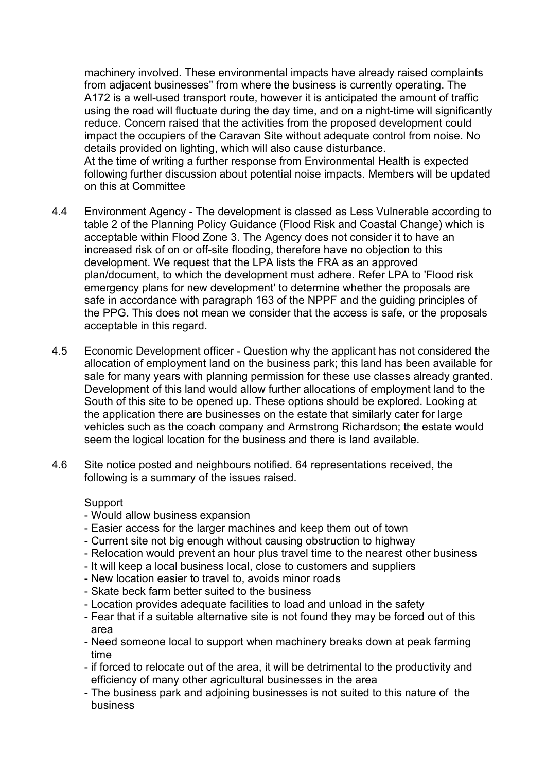machinery involved. These environmental impacts have already raised complaints from adjacent businesses" from where the business is currently operating. The A172 is a well-used transport route, however it is anticipated the amount of traffic using the road will fluctuate during the day time, and on a night-time will significantly reduce. Concern raised that the activities from the proposed development could impact the occupiers of the Caravan Site without adequate control from noise. No details provided on lighting, which will also cause disturbance. At the time of writing a further response from Environmental Health is expected following further discussion about potential noise impacts. Members will be updated on this at Committee

- 4.4 Environment Agency The development is classed as Less Vulnerable according to table 2 of the Planning Policy Guidance (Flood Risk and Coastal Change) which is acceptable within Flood Zone 3. The Agency does not consider it to have an increased risk of on or off-site flooding, therefore have no objection to this development. We request that the LPA lists the FRA as an approved plan/document, to which the development must adhere. Refer LPA to 'Flood risk emergency plans for new development' to determine whether the proposals are safe in accordance with paragraph 163 of the NPPF and the guiding principles of the PPG. This does not mean we consider that the access is safe, or the proposals acceptable in this regard.
- 4.5 Economic Development officer Question why the applicant has not considered the allocation of employment land on the business park; this land has been available for sale for many years with planning permission for these use classes already granted. Development of this land would allow further allocations of employment land to the South of this site to be opened up. These options should be explored. Looking at the application there are businesses on the estate that similarly cater for large vehicles such as the coach company and Armstrong Richardson; the estate would seem the logical location for the business and there is land available.
- 4.6 Site notice posted and neighbours notified. 64 representations received, the following is a summary of the issues raised.

**Support** 

- Would allow business expansion
- Easier access for the larger machines and keep them out of town
- Current site not big enough without causing obstruction to highway
- Relocation would prevent an hour plus travel time to the nearest other business
- It will keep a local business local, close to customers and suppliers
- New location easier to travel to, avoids minor roads
- Skate beck farm better suited to the business
- Location provides adequate facilities to load and unload in the safety
- Fear that if a suitable alternative site is not found they may be forced out of this area
- Need someone local to support when machinery breaks down at peak farming time
- if forced to relocate out of the area, it will be detrimental to the productivity and efficiency of many other agricultural businesses in the area
- The business park and adjoining businesses is not suited to this nature of the business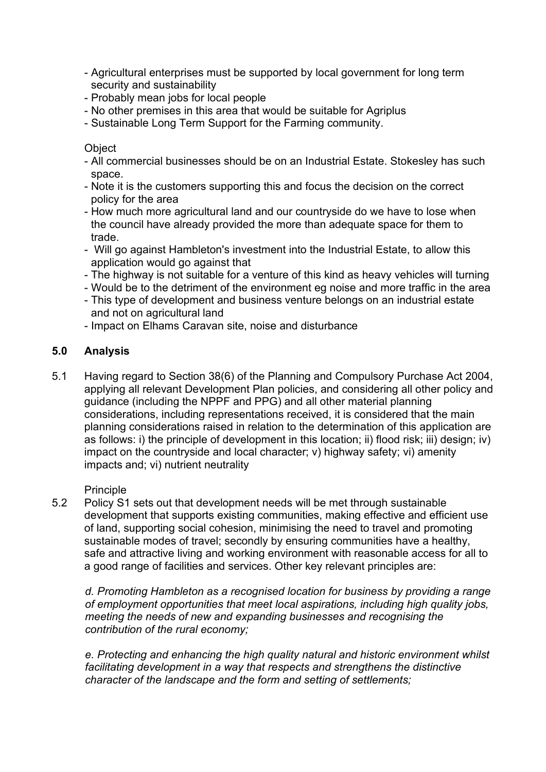- Agricultural enterprises must be supported by local government for long term security and sustainability
- Probably mean jobs for local people
- No other premises in this area that would be suitable for Agriplus
- Sustainable Long Term Support for the Farming community.

**Object** 

- All commercial businesses should be on an Industrial Estate. Stokesley has such space.
- Note it is the customers supporting this and focus the decision on the correct policy for the area
- How much more agricultural land and our countryside do we have to lose when the council have already provided the more than adequate space for them to trade.
- Will go against Hambleton's investment into the Industrial Estate, to allow this application would go against that
- The highway is not suitable for a venture of this kind as heavy vehicles will turning
- Would be to the detriment of the environment eg noise and more traffic in the area
- This type of development and business venture belongs on an industrial estate and not on agricultural land
- Impact on Elhams Caravan site, noise and disturbance

# **5.0 Analysis**

5.1 Having regard to Section 38(6) of the Planning and Compulsory Purchase Act 2004, applying all relevant Development Plan policies, and considering all other policy and guidance (including the NPPF and PPG) and all other material planning considerations, including representations received, it is considered that the main planning considerations raised in relation to the determination of this application are as follows: i) the principle of development in this location; ii) flood risk; iii) design; iv) impact on the countryside and local character; v) highway safety; vi) amenity impacts and; vi) nutrient neutrality

## **Principle**

5.2 Policy S1 sets out that development needs will be met through sustainable development that supports existing communities, making effective and efficient use of land, supporting social cohesion, minimising the need to travel and promoting sustainable modes of travel; secondly by ensuring communities have a healthy, safe and attractive living and working environment with reasonable access for all to a good range of facilities and services. Other key relevant principles are:

*d. Promoting Hambleton as a recognised location for business by providing a range of employment opportunities that meet local aspirations, including high quality jobs, meeting the needs of new and expanding businesses and recognising the contribution of the rural economy;*

*e. Protecting and enhancing the high quality natural and historic environment whilst facilitating development in a way that respects and strengthens the distinctive character of the landscape and the form and setting of settlements;*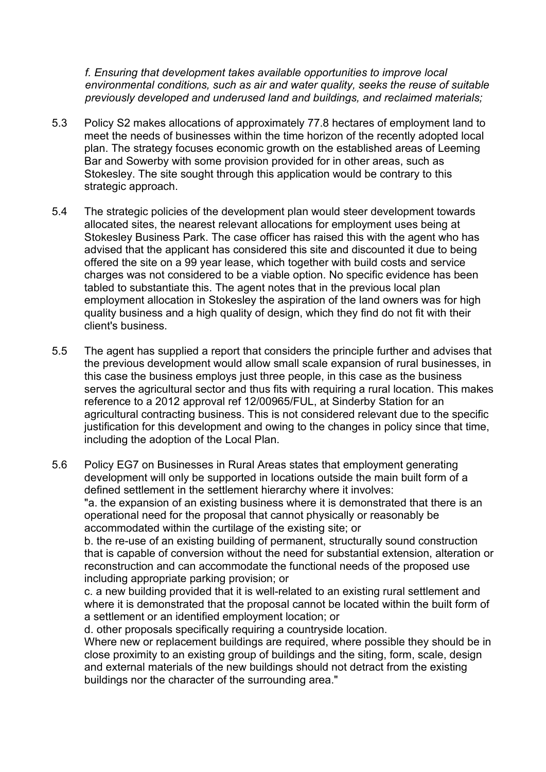*f. Ensuring that development takes available opportunities to improve local environmental conditions, such as air and water quality, seeks the reuse of suitable previously developed and underused land and buildings, and reclaimed materials;*

- 5.3 Policy S2 makes allocations of approximately 77.8 hectares of employment land to meet the needs of businesses within the time horizon of the recently adopted local plan. The strategy focuses economic growth on the established areas of Leeming Bar and Sowerby with some provision provided for in other areas, such as Stokesley. The site sought through this application would be contrary to this strategic approach.
- 5.4 The strategic policies of the development plan would steer development towards allocated sites, the nearest relevant allocations for employment uses being at Stokesley Business Park. The case officer has raised this with the agent who has advised that the applicant has considered this site and discounted it due to being offered the site on a 99 year lease, which together with build costs and service charges was not considered to be a viable option. No specific evidence has been tabled to substantiate this. The agent notes that in the previous local plan employment allocation in Stokesley the aspiration of the land owners was for high quality business and a high quality of design, which they find do not fit with their client's business.
- 5.5 The agent has supplied a report that considers the principle further and advises that the previous development would allow small scale expansion of rural businesses, in this case the business employs just three people, in this case as the business serves the agricultural sector and thus fits with requiring a rural location. This makes reference to a 2012 approval ref 12/00965/FUL, at Sinderby Station for an agricultural contracting business. This is not considered relevant due to the specific justification for this development and owing to the changes in policy since that time. including the adoption of the Local Plan.

5.6 Policy EG7 on Businesses in Rural Areas states that employment generating development will only be supported in locations outside the main built form of a defined settlement in the settlement hierarchy where it involves: "a. the expansion of an existing business where it is demonstrated that there is an operational need for the proposal that cannot physically or reasonably be accommodated within the curtilage of the existing site; or b. the re-use of an existing building of permanent, structurally sound construction

that is capable of conversion without the need for substantial extension, alteration or reconstruction and can accommodate the functional needs of the proposed use including appropriate parking provision; or

c. a new building provided that it is well-related to an existing rural settlement and where it is demonstrated that the proposal cannot be located within the built form of a settlement or an identified employment location; or

d. other proposals specifically requiring a countryside location.

Where new or replacement buildings are required, where possible they should be in close proximity to an existing group of buildings and the siting, form, scale, design and external materials of the new buildings should not detract from the existing buildings nor the character of the surrounding area."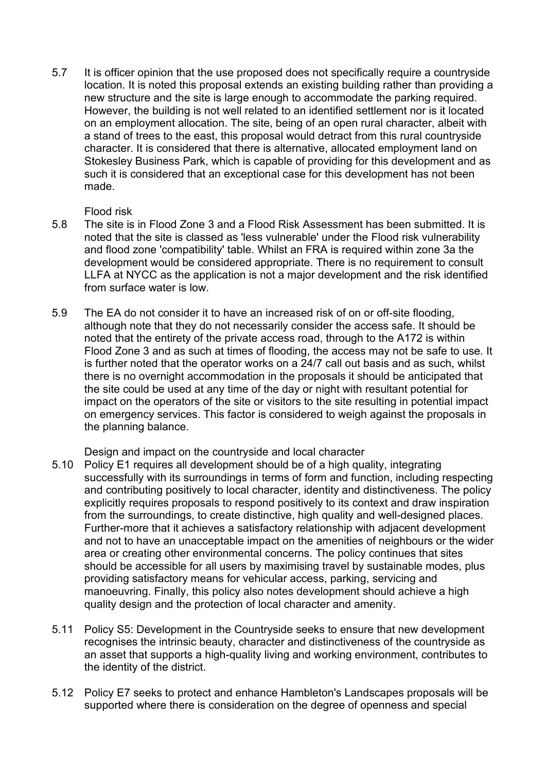5.7 It is officer opinion that the use proposed does not specifically require a countryside location. It is noted this proposal extends an existing building rather than providing a new structure and the site is large enough to accommodate the parking required. However, the building is not well related to an identified settlement nor is it located on an employment allocation. The site, being of an open rural character, albeit with a stand of trees to the east, this proposal would detract from this rural countryside character. It is considered that there is alternative, allocated employment land on Stokesley Business Park, which is capable of providing for this development and as such it is considered that an exceptional case for this development has not been made.

## Flood risk

- 5.8 The site is in Flood Zone 3 and a Flood Risk Assessment has been submitted. It is noted that the site is classed as 'less vulnerable' under the Flood risk vulnerability and flood zone 'compatibility' table. Whilst an FRA is required within zone 3a the development would be considered appropriate. There is no requirement to consult LLFA at NYCC as the application is not a major development and the risk identified from surface water is low.
- 5.9 The EA do not consider it to have an increased risk of on or off-site flooding, although note that they do not necessarily consider the access safe. It should be noted that the entirety of the private access road, through to the A172 is within Flood Zone 3 and as such at times of flooding, the access may not be safe to use. It is further noted that the operator works on a 24/7 call out basis and as such, whilst there is no overnight accommodation in the proposals it should be anticipated that the site could be used at any time of the day or night with resultant potential for impact on the operators of the site or visitors to the site resulting in potential impact on emergency services. This factor is considered to weigh against the proposals in the planning balance.

Design and impact on the countryside and local character

- 5.10 Policy E1 requires all development should be of a high quality, integrating successfully with its surroundings in terms of form and function, including respecting and contributing positively to local character, identity and distinctiveness. The policy explicitly requires proposals to respond positively to its context and draw inspiration from the surroundings, to create distinctive, high quality and well-designed places. Further-more that it achieves a satisfactory relationship with adjacent development and not to have an unacceptable impact on the amenities of neighbours or the wider area or creating other environmental concerns. The policy continues that sites should be accessible for all users by maximising travel by sustainable modes, plus providing satisfactory means for vehicular access, parking, servicing and manoeuvring. Finally, this policy also notes development should achieve a high quality design and the protection of local character and amenity.
- 5.11 Policy S5: Development in the Countryside seeks to ensure that new development recognises the intrinsic beauty, character and distinctiveness of the countryside as an asset that supports a high-quality living and working environment, contributes to the identity of the district.
- 5.12 Policy E7 seeks to protect and enhance Hambleton's Landscapes proposals will be supported where there is consideration on the degree of openness and special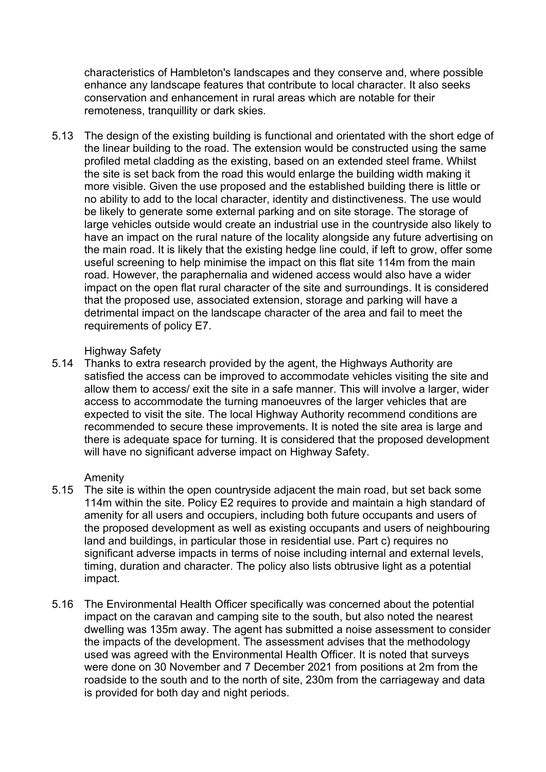characteristics of Hambleton's landscapes and they conserve and, where possible enhance any landscape features that contribute to local character. It also seeks conservation and enhancement in rural areas which are notable for their remoteness, tranquillity or dark skies.

5.13 The design of the existing building is functional and orientated with the short edge of the linear building to the road. The extension would be constructed using the same profiled metal cladding as the existing, based on an extended steel frame. Whilst the site is set back from the road this would enlarge the building width making it more visible. Given the use proposed and the established building there is little or no ability to add to the local character, identity and distinctiveness. The use would be likely to generate some external parking and on site storage. The storage of large vehicles outside would create an industrial use in the countryside also likely to have an impact on the rural nature of the locality alongside any future advertising on the main road. It is likely that the existing hedge line could, if left to grow, offer some useful screening to help minimise the impact on this flat site 114m from the main road. However, the paraphernalia and widened access would also have a wider impact on the open flat rural character of the site and surroundings. It is considered that the proposed use, associated extension, storage and parking will have a detrimental impact on the landscape character of the area and fail to meet the requirements of policy E7.

#### Highway Safety

5.14 Thanks to extra research provided by the agent, the Highways Authority are satisfied the access can be improved to accommodate vehicles visiting the site and allow them to access/ exit the site in a safe manner. This will involve a larger, wider access to accommodate the turning manoeuvres of the larger vehicles that are expected to visit the site. The local Highway Authority recommend conditions are recommended to secure these improvements. It is noted the site area is large and there is adequate space for turning. It is considered that the proposed development will have no significant adverse impact on Highway Safety.

## Amenity

- 5.15 The site is within the open countryside adjacent the main road, but set back some 114m within the site. Policy E2 requires to provide and maintain a high standard of amenity for all users and occupiers, including both future occupants and users of the proposed development as well as existing occupants and users of neighbouring land and buildings, in particular those in residential use. Part c) requires no significant adverse impacts in terms of noise including internal and external levels, timing, duration and character. The policy also lists obtrusive light as a potential impact.
- 5.16 The Environmental Health Officer specifically was concerned about the potential impact on the caravan and camping site to the south, but also noted the nearest dwelling was 135m away. The agent has submitted a noise assessment to consider the impacts of the development. The assessment advises that the methodology used was agreed with the Environmental Health Officer. It is noted that surveys were done on 30 November and 7 December 2021 from positions at 2m from the roadside to the south and to the north of site, 230m from the carriageway and data is provided for both day and night periods.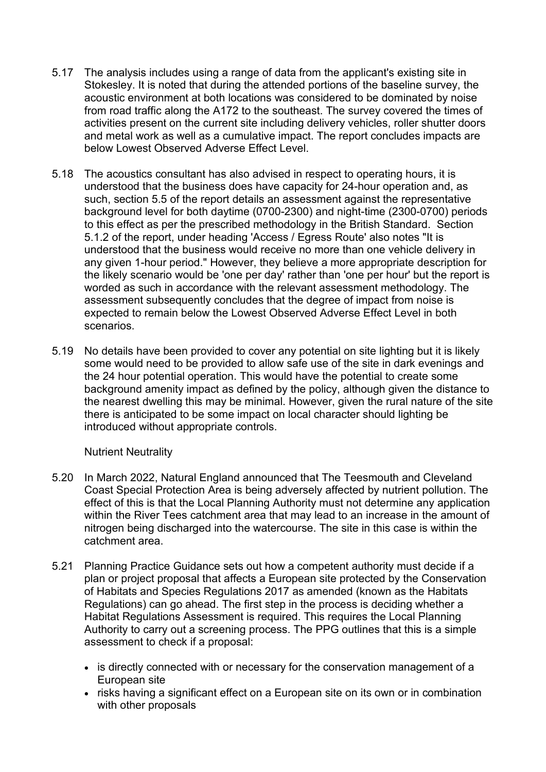- 5.17 The analysis includes using a range of data from the applicant's existing site in Stokesley. It is noted that during the attended portions of the baseline survey, the acoustic environment at both locations was considered to be dominated by noise from road traffic along the A172 to the southeast. The survey covered the times of activities present on the current site including delivery vehicles, roller shutter doors and metal work as well as a cumulative impact. The report concludes impacts are below Lowest Observed Adverse Effect Level.
- 5.18 The acoustics consultant has also advised in respect to operating hours, it is understood that the business does have capacity for 24-hour operation and, as such, section 5.5 of the report details an assessment against the representative background level for both daytime (0700-2300) and night-time (2300-0700) periods to this effect as per the prescribed methodology in the British Standard. Section 5.1.2 of the report, under heading 'Access / Egress Route' also notes "It is understood that the business would receive no more than one vehicle delivery in any given 1-hour period." However, they believe a more appropriate description for the likely scenario would be 'one per day' rather than 'one per hour' but the report is worded as such in accordance with the relevant assessment methodology. The assessment subsequently concludes that the degree of impact from noise is expected to remain below the Lowest Observed Adverse Effect Level in both scenarios.
- 5.19 No details have been provided to cover any potential on site lighting but it is likely some would need to be provided to allow safe use of the site in dark evenings and the 24 hour potential operation. This would have the potential to create some background amenity impact as defined by the policy, although given the distance to the nearest dwelling this may be minimal. However, given the rural nature of the site there is anticipated to be some impact on local character should lighting be introduced without appropriate controls.

## Nutrient Neutrality

- 5.20 In March 2022, Natural England announced that The Teesmouth and Cleveland Coast Special Protection Area is being adversely affected by nutrient pollution. The effect of this is that the Local Planning Authority must not determine any application within the River Tees catchment area that may lead to an increase in the amount of nitrogen being discharged into the watercourse. The site in this case is within the catchment area.
- 5.21 Planning Practice Guidance sets out how a competent authority must decide if a plan or project proposal that affects a European site protected by the Conservation of Habitats and Species Regulations 2017 as amended (known as the Habitats Regulations) can go ahead. The first step in the process is deciding whether a Habitat Regulations Assessment is required. This requires the Local Planning Authority to carry out a screening process. The PPG outlines that this is a simple assessment to check if a proposal:
	- is directly connected with or necessary for the conservation management of a European site
	- risks having a significant effect on a European site on its own or in combination with other proposals